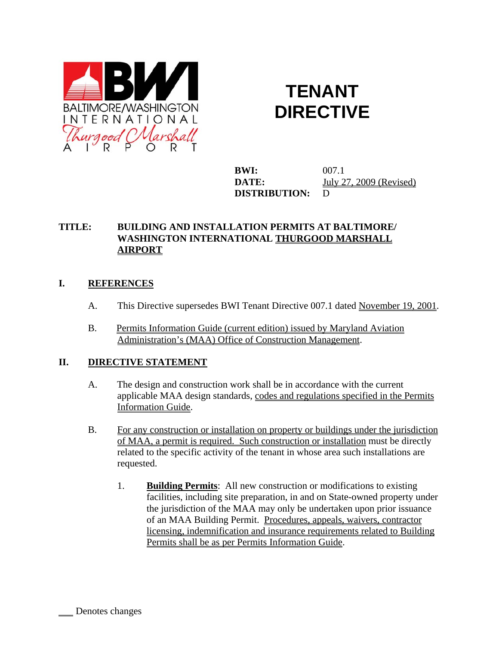

## **TENANT DIRECTIVE**

**BWI:** 007.1 **DATE:** July 27, 2009 (Revised) **DISTRIBUTION:** D

## **TITLE: BUILDING AND INSTALLATION PERMITS AT BALTIMORE/ WASHINGTON INTERNATIONAL THURGOOD MARSHALL AIRPORT**

## **I. REFERENCES**

- A. This Directive supersedes BWI Tenant Directive 007.1 dated November 19, 2001.
- B. Permits Information Guide (current edition) issued by Maryland Aviation Administration's (MAA) Office of Construction Management.

## **II. DIRECTIVE STATEMENT**

- A. The design and construction work shall be in accordance with the current applicable MAA design standards, codes and regulations specified in the Permits Information Guide.
- B. For any construction or installation on property or buildings under the jurisdiction of MAA, a permit is required. Such construction or installation must be directly related to the specific activity of the tenant in whose area such installations are requested.
	- 1. **Building Permits**: All new construction or modifications to existing facilities, including site preparation, in and on State-owned property under the jurisdiction of the MAA may only be undertaken upon prior issuance of an MAA Building Permit. Procedures, appeals, waivers, contractor licensing, indemnification and insurance requirements related to Building Permits shall be as per Permits Information Guide.